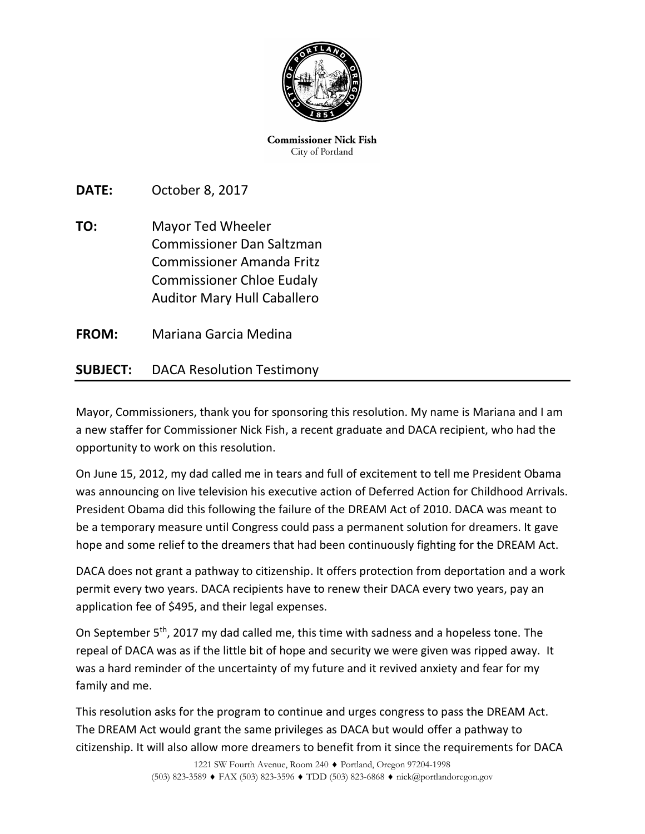

**Commissioner Nick Fish** City of Portland

**DATE:** October 8, 2017

**TO:** Mayor Ted Wheeler Commissioner Dan Saltzman Commissioner Amanda Fritz Commissioner Chloe Eudaly Auditor Mary Hull Caballero

**FROM:** Mariana Garcia Medina

## **SUBJECT:** DACA Resolution Testimony

Mayor, Commissioners, thank you for sponsoring this resolution. My name is Mariana and I am a new staffer for Commissioner Nick Fish, a recent graduate and DACA recipient, who had the opportunity to work on this resolution.

On June 15, 2012, my dad called me in tears and full of excitement to tell me President Obama was announcing on live television his executive action of Deferred Action for Childhood Arrivals. President Obama did this following the failure of the DREAM Act of 2010. DACA was meant to be a temporary measure until Congress could pass a permanent solution for dreamers. It gave hope and some relief to the dreamers that had been continuously fighting for the DREAM Act.

DACA does not grant a pathway to citizenship. It offers protection from deportation and a work permit every two years. DACA recipients have to renew their DACA every two years, pay an application fee of \$495, and their legal expenses.

On September 5<sup>th</sup>, 2017 my dad called me, this time with sadness and a hopeless tone. The repeal of DACA was as if the little bit of hope and security we were given was ripped away. It was a hard reminder of the uncertainty of my future and it revived anxiety and fear for my family and me.

This resolution asks for the program to continue and urges congress to pass the DREAM Act. The DREAM Act would grant the same privileges as DACA but would offer a pathway to citizenship. It will also allow more dreamers to benefit from it since the requirements for DACA